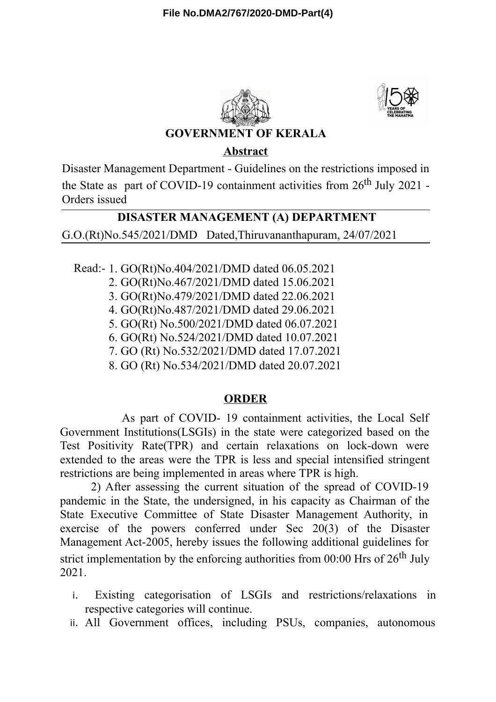



## **GOVERNMENT OF KERALA**

## **Abstract**

Disaster Management Department - Guidelines on the restrictions imposed in the State as part of COVID-19 containment activities from  $26<sup>th</sup>$  July 2021 -Orders issued

## **DISASTER MANAGEMENT (A) DEPARTMENT**

G.O.(Rt)No.545/2021/DMD Dated,Thiruvananthapuram, 24/07/2021

Read:- 1. GO(Rt)No.404/2021/DMD dated 06.05.2021

2. GO(Rt)No.467/2021/DMD dated 15.06.2021

3. GO(Rt)No.479/2021/DMD dated 22.06.2021

4. GO(Rt)No.487/2021/DMD dated 29.06.2021

5. GO(Rt) No.500/2021/DMD dated 06.07.2021

6. GO(Rt) No.524/2021/DMD dated 10.07.2021

7. GO (Rt) No.532/2021/DMD dated 17.07.2021

8. GO (Rt) No.534/2021/DMD dated 20.07.2021

## **ORDER**

As part of COVID- 19 containment activities, the Local Self Government Institutions(LSGIs) in the state were categorized based on the Test Positivity Rate(TPR) and certain relaxations on lock-down were extended to the areas were the TPR is less and special intensified stringent restrictions are being implemented in areas where TPR is high.

2) After assessing the current situation of the spread of COVID-19 pandemic in the State, the undersigned, in his capacity as Chairman of the State Executive Committee of State Disaster Management Authority, in exercise of the powers conferred under Sec 20(3) of the Disaster Management Act-2005, hereby issues the following additional guidelines for strict implementation by the enforcing authorities from  $00:00$  Hrs of  $26<sup>th</sup>$  July 2021.

- i. Existing categorisation of LSGIs and restrictions/relaxations in respective categories will continue.
- ii. All Government offices, including PSUs, companies, autonomous